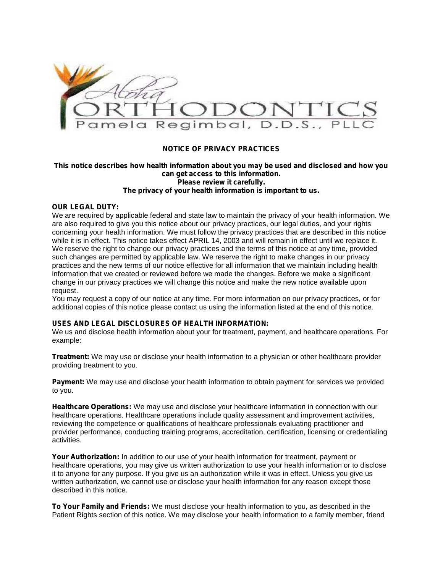

# **NOTICE OF PRIVACY PRACTICES**

## **This notice describes how health information about you may be used and disclosed and how you can get access to this information. Please review it carefully. The privacy of your health information is important to us.**

# **OUR LEGAL DUTY:**

We are required by applicable federal and state law to maintain the privacy of your health information. We are also required to give you this notice about our privacy practices, our legal duties, and your rights concerning your health information. We must follow the privacy practices that are described in this notice while it is in effect. This notice takes effect APRIL 14, 2003 and will remain in effect until we replace it. We reserve the right to change our privacy practices and the terms of this notice at any time, provided such changes are permitted by applicable law. We reserve the right to make changes in our privacy practices and the new terms of our notice effective for all information that we maintain including health information that we created or reviewed before we made the changes. Before we make a significant change in our privacy practices we will change this notice and make the new notice available upon request.

You may request a copy of our notice at any time. For more information on our privacy practices, or for additional copies of this notice please contact us using the information listed at the end of this notice.

## **USES AND LEGAL DISCLOSURES OF HEALTH INFORMATION:**

We us and disclose health information about your for treatment, payment, and healthcare operations. For example:

**Treatment:** We may use or disclose your health information to a physician or other healthcare provider providing treatment to you.

**Payment:** We may use and disclose your health information to obtain payment for services we provided to you.

**Healthcare Operations:** We may use and disclose your healthcare information in connection with our healthcare operations. Healthcare operations include quality assessment and improvement activities, reviewing the competence or qualifications of healthcare professionals evaluating practitioner and provider performance, conducting training programs, accreditation, certification, licensing or credentialing activities.

**Your Authorization:** In addition to our use of your health information for treatment, payment or healthcare operations, you may give us written authorization to use your health information or to disclose it to anyone for any purpose. If you give us an authorization while it was in effect. Unless you give us written authorization, we cannot use or disclose your health information for any reason except those described in this notice.

**To Your Family and Friends:** We must disclose your health information to you, as described in the Patient Rights section of this notice. We may disclose your health information to a family member, friend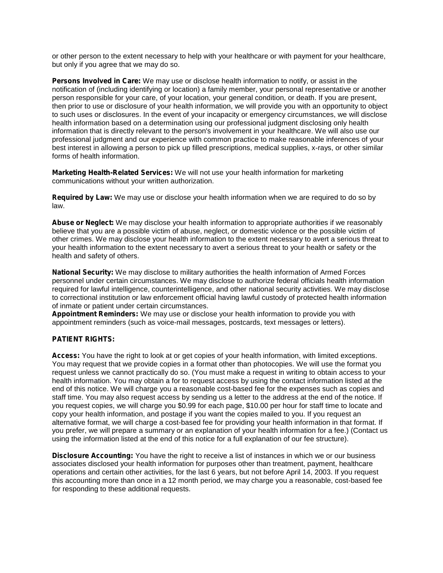or other person to the extent necessary to help with your healthcare or with payment for your healthcare, but only if you agree that we may do so.

**Persons Involved in Care:** We may use or disclose health information to notify, or assist in the notification of (including identifying or location) a family member, your personal representative or another person responsible for your care, of your location, your general condition, or death. If you are present, then prior to use or disclosure of your health information, we will provide you with an opportunity to object to such uses or disclosures. In the event of your incapacity or emergency circumstances, we will disclose health information based on a determination using our professional judgment disclosing only health information that is directly relevant to the person's involvement in your healthcare. We will also use our professional judgment and our experience with common practice to make reasonable inferences of your best interest in allowing a person to pick up filled prescriptions, medical supplies, x-rays, or other similar forms of health information.

**Marketing Health-Related Services:** We will not use your health information for marketing communications without your written authorization.

**Required by Law:** We may use or disclose your health information when we are required to do so by law.

**Abuse or Neglect:** We may disclose your health information to appropriate authorities if we reasonably believe that you are a possible victim of abuse, neglect, or domestic violence or the possible victim of other crimes. We may disclose your health information to the extent necessary to avert a serious threat to your health information to the extent necessary to avert a serious threat to your health or safety or the health and safety of others.

**National Security:** We may disclose to military authorities the health information of Armed Forces personnel under certain circumstances. We may disclose to authorize federal officials health information required for lawful intelligence, counterintelligence, and other national security activities. We may disclose to correctional institution or law enforcement official having lawful custody of protected health information of inmate or patient under certain circumstances.

**Appointment Reminders:** We may use or disclose your health information to provide you with appointment reminders (such as voice-mail messages, postcards, text messages or letters).

# **PATIENT RIGHTS:**

**Access:** You have the right to look at or get copies of your health information, with limited exceptions. You may request that we provide copies in a format other than photocopies. We will use the format you request unless we cannot practically do so. (You must make a request in writing to obtain access to your health information. You may obtain a for to request access by using the contact information listed at the end of this notice. We will charge you a reasonable cost-based fee for the expenses such as copies and staff time. You may also request access by sending us a letter to the address at the end of the notice. If you request copies, we will charge you \$0.99 for each page, \$10.00 per hour for staff time to locate and copy your health information, and postage if you want the copies mailed to you. If you request an alternative format, we will charge a cost-based fee for providing your health information in that format. If you prefer, we will prepare a summary or an explanation of your health information for a fee.) (Contact us using the information listed at the end of this notice for a full explanation of our fee structure).

**Disclosure Accounting:** You have the right to receive a list of instances in which we or our business associates disclosed your health information for purposes other than treatment, payment, healthcare operations and certain other activities, for the last 6 years, but not before April 14, 2003. If you request this accounting more than once in a 12 month period, we may charge you a reasonable, cost-based fee for responding to these additional requests.